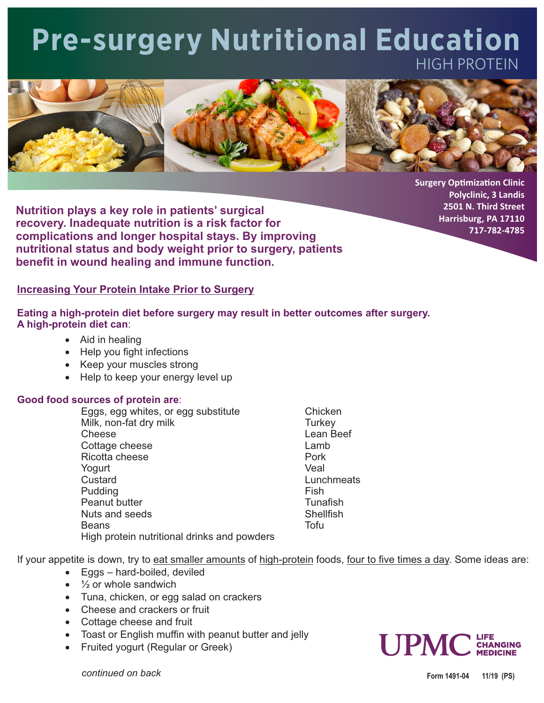## **Pre-surgery Nutritional Education**  HIGH PROTEIN



**Surgery Optimization Clinic Polyclinic, 3 Landis 2501 N. Third Street Harrisburg, PA 17110 717-782-4785**

**recovery. Inadequate nutrition is a risk factor for complications and longer hospital stays. By improving nutritional status and body weight prior to surgery, patients benefit in wound healing and immune function. Nutrition plays a key role in patients' surgical**

## **Increasing Your Protein Intake Prior to Surgery**

**Eating a high-protein diet before surgery may result in better outcomes after surgery. A high-protein diet can**:

- Aid in healing
- Help you fight infections
- · Keep your muscles strong
- Help to keep your energy level up

## **Good food sources of protein are**:

Peanut butter Tunashing Tunashing Peanut butter High protein nutritional drinks and powders Nuts and seeds Shellfish Pudding **Fish** Beans **Beans Beans Contract Contract Contract Contract Contract Contract Contract Contract Contract Contract Contract Contract Contract Contract Contract Contract Contract Contract Contract Contract Contract Contract C** Eggs, egg whites, or egg substitute Chicken Milk, non-fat dry milk Turkey Cottage cheese Lamb Ricotta cheese **Pork** Yogurt Veal Cheese Lean Beef

Lunchmeats

If your appetite is down, try to eat smaller amounts of high-protein foods, four to five times a day. Some ideas are:

- Eggs hard-boiled, deviled
- $\cdot$   $\frac{1}{2}$  or whole sandwich
- · Tuna, chicken, or egg salad on crackers
- · Cheese and crackers or fruit
- · Cottage cheese and fruit
- Toast or English muffin with peanut butter and jelly
- · Fruited yogurt (Regular or Greek)